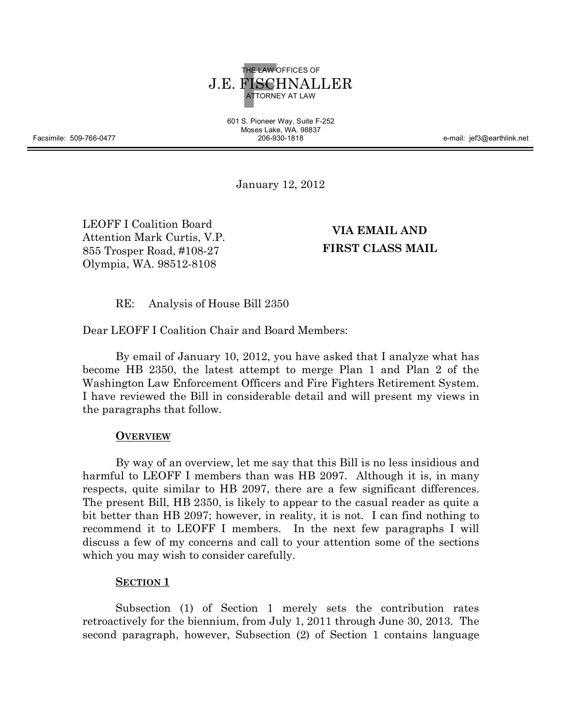

601 S. Pioneer Way, Suite F-252 Moses Lake, WA. 98837

206-930-1818 e-mail: jef3@earthlink.net

January 12, 2012

LEOFF I Coalition Board Attention Mark Curtis, V.P. 855 Trosper Road, #108-27 Olympia, WA. 98512-8108

**VIA EMAIL AND FIRST CLASS MAIL**

RE: Analysis of House Bill 2350

Dear LEOFF I Coalition Chair and Board Members:

By email of January 10, 2012, you have asked that I analyze what has become HB 2350, the latest attempt to merge Plan 1 and Plan 2 of the Washington Law Enforcement Officers and Fire Fighters Retirement System. I have reviewed the Bill in considerable detail and will present my views in the paragraphs that follow.

## **OVERVIEW**

By way of an overview, let me say that this Bill is no less insidious and harmful to LEOFF I members than was HB 2097. Although it is, in many respects, quite similar to HB 2097, there are a few significant differences. The present Bill, HB 2350, is likely to appear to the casual reader as quite a bit better than HB 2097; however, in reality, it is not. I can find nothing to recommend it to LEOFF I members. In the next few paragraphs I will discuss a few of my concerns and call to your attention some of the sections which you may wish to consider carefully.

## **SECTION 1**

Subsection (1) of Section 1 merely sets the contribution rates retroactively for the biennium, from July 1, 2011 through June 30, 2013. The second paragraph, however, Subsection (2) of Section 1 contains language

Facsimile: 509-766-0477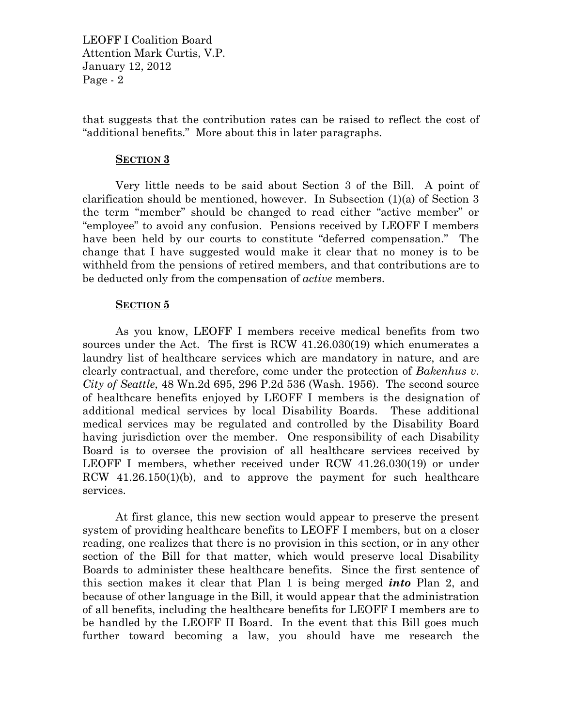that suggests that the contribution rates can be raised to reflect the cost of "additional benefits." More about this in later paragraphs.

#### **SECTION 3**

Very little needs to be said about Section 3 of the Bill. A point of clarification should be mentioned, however. In Subsection (1)(a) of Section 3 the term "member" should be changed to read either "active member" or "employee" to avoid any confusion. Pensions received by LEOFF I members have been held by our courts to constitute "deferred compensation." The change that I have suggested would make it clear that no money is to be withheld from the pensions of retired members, and that contributions are to be deducted only from the compensation of *active* members.

#### **SECTION 5**

As you know, LEOFF I members receive medical benefits from two sources under the Act. The first is RCW 41.26.030(19) which enumerates a laundry list of healthcare services which are mandatory in nature, and are clearly contractual, and therefore, come under the protection of *Bakenhus v. City of Seattle*, 48 Wn.2d 695, 296 P.2d 536 (Wash. 1956). The second source of healthcare benefits enjoyed by LEOFF I members is the designation of additional medical services by local Disability Boards. These additional medical services may be regulated and controlled by the Disability Board having jurisdiction over the member. One responsibility of each Disability Board is to oversee the provision of all healthcare services received by LEOFF I members, whether received under RCW 41.26.030(19) or under RCW 41.26.150(1)(b), and to approve the payment for such healthcare services.

At first glance, this new section would appear to preserve the present system of providing healthcare benefits to LEOFF I members, but on a closer reading, one realizes that there is no provision in this section, or in any other section of the Bill for that matter, which would preserve local Disability Boards to administer these healthcare benefits. Since the first sentence of this section makes it clear that Plan 1 is being merged *into* Plan 2, and because of other language in the Bill, it would appear that the administration of all benefits, including the healthcare benefits for LEOFF I members are to be handled by the LEOFF II Board. In the event that this Bill goes much further toward becoming a law, you should have me research the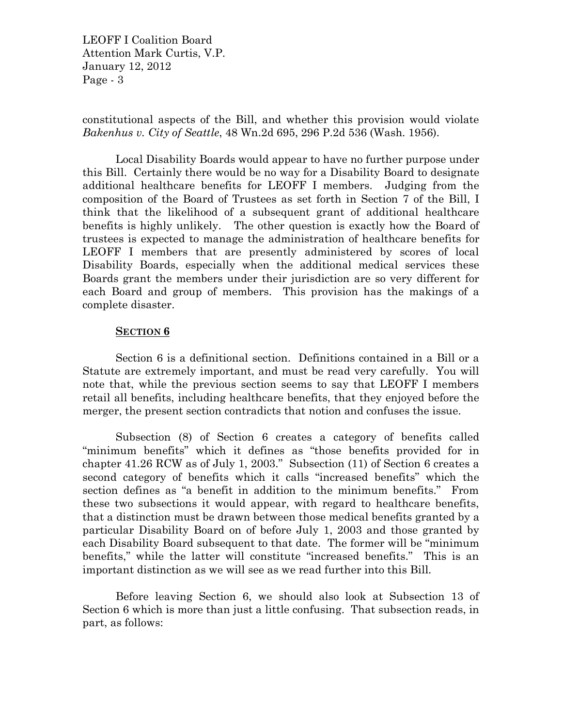constitutional aspects of the Bill, and whether this provision would violate *Bakenhus v. City of Seattle*, 48 Wn.2d 695, 296 P.2d 536 (Wash. 1956).

Local Disability Boards would appear to have no further purpose under this Bill. Certainly there would be no way for a Disability Board to designate additional healthcare benefits for LEOFF I members. Judging from the composition of the Board of Trustees as set forth in Section 7 of the Bill, I think that the likelihood of a subsequent grant of additional healthcare benefits is highly unlikely. The other question is exactly how the Board of trustees is expected to manage the administration of healthcare benefits for LEOFF I members that are presently administered by scores of local Disability Boards, especially when the additional medical services these Boards grant the members under their jurisdiction are so very different for each Board and group of members. This provision has the makings of a complete disaster.

## **SECTION 6**

Section 6 is a definitional section. Definitions contained in a Bill or a Statute are extremely important, and must be read very carefully. You will note that, while the previous section seems to say that LEOFF I members retail all benefits, including healthcare benefits, that they enjoyed before the merger, the present section contradicts that notion and confuses the issue.

Subsection (8) of Section 6 creates a category of benefits called "minimum benefits" which it defines as "those benefits provided for in chapter 41.26 RCW as of July 1, 2003." Subsection (11) of Section 6 creates a second category of benefits which it calls "increased benefits" which the section defines as "a benefit in addition to the minimum benefits." From these two subsections it would appear, with regard to healthcare benefits, that a distinction must be drawn between those medical benefits granted by a particular Disability Board on of before July 1, 2003 and those granted by each Disability Board subsequent to that date. The former will be "minimum benefits," while the latter will constitute "increased benefits." This is an important distinction as we will see as we read further into this Bill.

Before leaving Section 6, we should also look at Subsection 13 of Section 6 which is more than just a little confusing. That subsection reads, in part, as follows: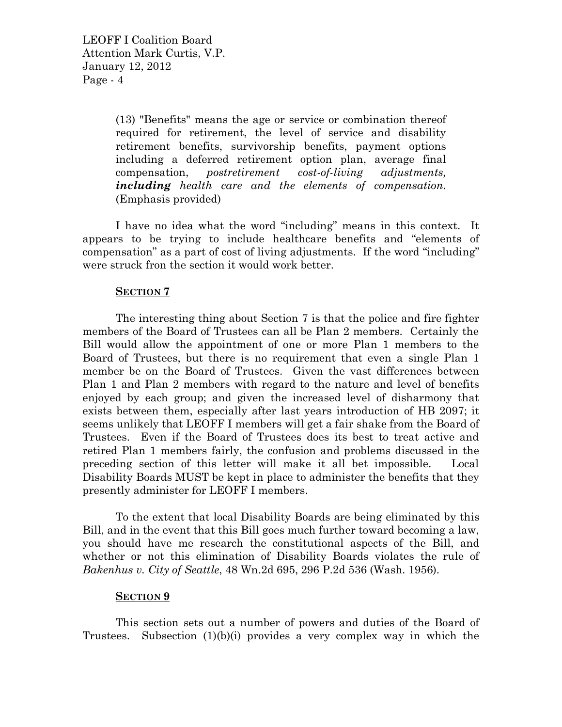(13) "Benefits" means the age or service or combination thereof required for retirement, the level of service and disability retirement benefits, survivorship benefits, payment options including a deferred retirement option plan, average final compensation, *postretirement cost-of-living adjustments, including health care and the elements of compensation.* (Emphasis provided)

I have no idea what the word "including" means in this context. It appears to be trying to include healthcare benefits and "elements of compensation" as a part of cost of living adjustments. If the word "including" were struck fron the section it would work better.

# **SECTION 7**

The interesting thing about Section 7 is that the police and fire fighter members of the Board of Trustees can all be Plan 2 members. Certainly the Bill would allow the appointment of one or more Plan 1 members to the Board of Trustees, but there is no requirement that even a single Plan 1 member be on the Board of Trustees. Given the vast differences between Plan 1 and Plan 2 members with regard to the nature and level of benefits enjoyed by each group; and given the increased level of disharmony that exists between them, especially after last years introduction of HB 2097; it seems unlikely that LEOFF I members will get a fair shake from the Board of Trustees. Even if the Board of Trustees does its best to treat active and retired Plan 1 members fairly, the confusion and problems discussed in the preceding section of this letter will make it all bet impossible. Local Disability Boards MUST be kept in place to administer the benefits that they presently administer for LEOFF I members.

To the extent that local Disability Boards are being eliminated by this Bill, and in the event that this Bill goes much further toward becoming a law, you should have me research the constitutional aspects of the Bill, and whether or not this elimination of Disability Boards violates the rule of *Bakenhus v. City of Seattle*, 48 Wn.2d 695, 296 P.2d 536 (Wash. 1956).

## **SECTION 9**

This section sets out a number of powers and duties of the Board of Trustees. Subsection (1)(b)(i) provides a very complex way in which the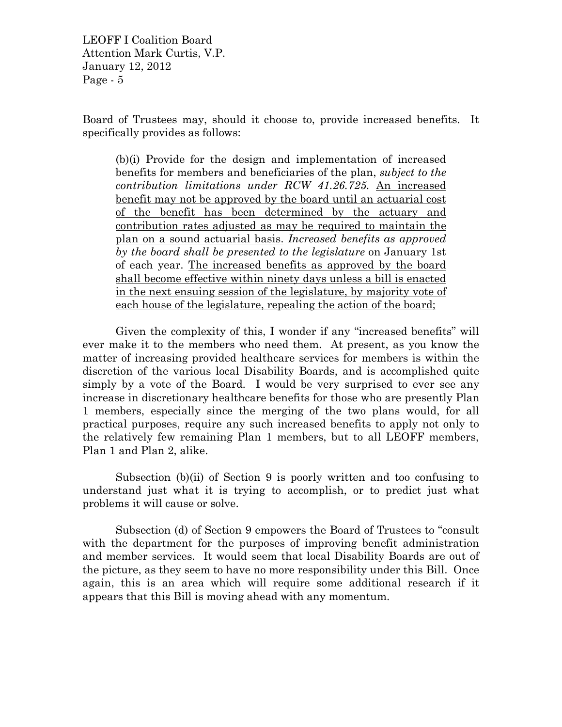Board of Trustees may, should it choose to, provide increased benefits. It specifically provides as follows:

(b)(i) Provide for the design and implementation of increased benefits for members and beneficiaries of the plan, *subject to the contribution limitations under RCW 41.26.725*. An increased benefit may not be approved by the board until an actuarial cost of the benefit has been determined by the actuary and contribution rates adjusted as may be required to maintain the plan on a sound actuarial basis. *Increased benefits as approved by the board shall be presented to the legislature* on January 1st of each year. The increased benefits as approved by the board shall become effective within ninety days unless a bill is enacted in the next ensuing session of the legislature, by majority vote of each house of the legislature, repealing the action of the board;

Given the complexity of this, I wonder if any "increased benefits" will ever make it to the members who need them. At present, as you know the matter of increasing provided healthcare services for members is within the discretion of the various local Disability Boards, and is accomplished quite simply by a vote of the Board. I would be very surprised to ever see any increase in discretionary healthcare benefits for those who are presently Plan 1 members, especially since the merging of the two plans would, for all practical purposes, require any such increased benefits to apply not only to the relatively few remaining Plan 1 members, but to all LEOFF members, Plan 1 and Plan 2, alike.

Subsection (b)(ii) of Section 9 is poorly written and too confusing to understand just what it is trying to accomplish, or to predict just what problems it will cause or solve.

Subsection (d) of Section 9 empowers the Board of Trustees to "consult with the department for the purposes of improving benefit administration and member services. It would seem that local Disability Boards are out of the picture, as they seem to have no more responsibility under this Bill. Once again, this is an area which will require some additional research if it appears that this Bill is moving ahead with any momentum.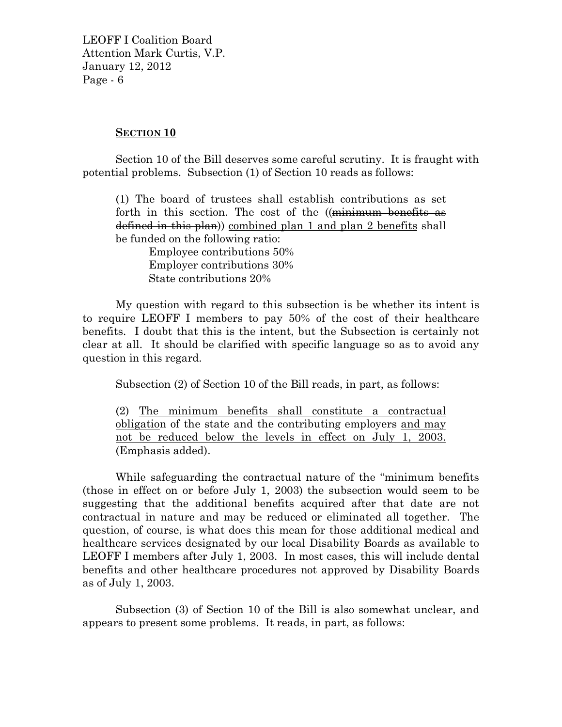## **SECTION 10**

Section 10 of the Bill deserves some careful scrutiny. It is fraught with potential problems. Subsection (1) of Section 10 reads as follows:

(1) The board of trustees shall establish contributions as set forth in this section. The cost of the ((minimum benefits as defined in this plan)) combined plan 1 and plan 2 benefits shall be funded on the following ratio:

Employee contributions 50% Employer contributions 30% State contributions 20%

My question with regard to this subsection is be whether its intent is to require LEOFF I members to pay 50% of the cost of their healthcare benefits. I doubt that this is the intent, but the Subsection is certainly not clear at all. It should be clarified with specific language so as to avoid any question in this regard.

Subsection (2) of Section 10 of the Bill reads, in part, as follows:

(2) The minimum benefits shall constitute a contractual obligation of the state and the contributing employers and may not be reduced below the levels in effect on July 1, 2003. (Emphasis added).

While safeguarding the contractual nature of the "minimum benefits (those in effect on or before July 1, 2003) the subsection would seem to be suggesting that the additional benefits acquired after that date are not contractual in nature and may be reduced or eliminated all together. The question, of course, is what does this mean for those additional medical and healthcare services designated by our local Disability Boards as available to LEOFF I members after July 1, 2003. In most cases, this will include dental benefits and other healthcare procedures not approved by Disability Boards as of July 1, 2003.

Subsection (3) of Section 10 of the Bill is also somewhat unclear, and appears to present some problems. It reads, in part, as follows: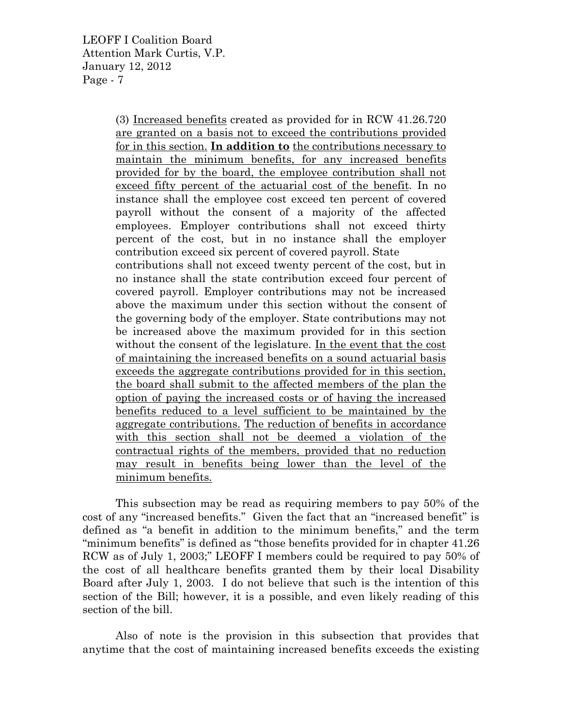> (3) Increased benefits created as provided for in RCW 41.26.720 are granted on a basis not to exceed the contributions provided for in this section. **In addition to** the contributions necessary to maintain the minimum benefits, for any increased benefits provided for by the board, the employee contribution shall not exceed fifty percent of the actuarial cost of the benefit. In no instance shall the employee cost exceed ten percent of covered payroll without the consent of a majority of the affected employees. Employer contributions shall not exceed thirty percent of the cost, but in no instance shall the employer contribution exceed six percent of covered payroll. State contributions shall not exceed twenty percent of the cost, but in no instance shall the state contribution exceed four percent of covered payroll. Employer contributions may not be increased above the maximum under this section without the consent of the governing body of the employer. State contributions may not be increased above the maximum provided for in this section without the consent of the legislature. In the event that the cost of maintaining the increased benefits on a sound actuarial basis exceeds the aggregate contributions provided for in this section, the board shall submit to the affected members of the plan the option of paying the increased costs or of having the increased benefits reduced to a level sufficient to be maintained by the aggregate contributions. The reduction of benefits in accordance with this section shall not be deemed a violation of the contractual rights of the members, provided that no reduction may result in benefits being lower than the level of the minimum benefits.

This subsection may be read as requiring members to pay 50% of the cost of any "increased benefits." Given the fact that an "increased benefit" is defined as "a benefit in addition to the minimum benefits," and the term "minimum benefits" is defined as "those benefits provided for in chapter 41.26 RCW as of July 1, 2003;" LEOFF I members could be required to pay 50% of the cost of all healthcare benefits granted them by their local Disability Board after July 1, 2003. I do not believe that such is the intention of this section of the Bill; however, it is a possible, and even likely reading of this section of the bill.

Also of note is the provision in this subsection that provides that anytime that the cost of maintaining increased benefits exceeds the existing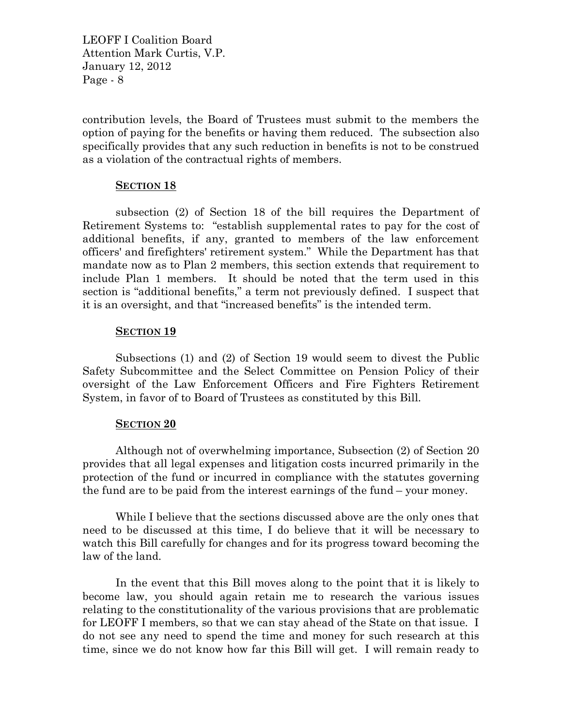contribution levels, the Board of Trustees must submit to the members the option of paying for the benefits or having them reduced. The subsection also specifically provides that any such reduction in benefits is not to be construed as a violation of the contractual rights of members.

## **SECTION 18**

subsection (2) of Section 18 of the bill requires the Department of Retirement Systems to: "establish supplemental rates to pay for the cost of additional benefits, if any, granted to members of the law enforcement officers' and firefighters' retirement system." While the Department has that mandate now as to Plan 2 members, this section extends that requirement to include Plan 1 members. It should be noted that the term used in this section is "additional benefits," a term not previously defined. I suspect that it is an oversight, and that "increased benefits" is the intended term.

## **SECTION 19**

Subsections (1) and (2) of Section 19 would seem to divest the Public Safety Subcommittee and the Select Committee on Pension Policy of their oversight of the Law Enforcement Officers and Fire Fighters Retirement System, in favor of to Board of Trustees as constituted by this Bill.

## **SECTION 20**

Although not of overwhelming importance, Subsection (2) of Section 20 provides that all legal expenses and litigation costs incurred primarily in the protection of the fund or incurred in compliance with the statutes governing the fund are to be paid from the interest earnings of the fund – your money.

While I believe that the sections discussed above are the only ones that need to be discussed at this time, I do believe that it will be necessary to watch this Bill carefully for changes and for its progress toward becoming the law of the land.

In the event that this Bill moves along to the point that it is likely to become law, you should again retain me to research the various issues relating to the constitutionality of the various provisions that are problematic for LEOFF I members, so that we can stay ahead of the State on that issue. I do not see any need to spend the time and money for such research at this time, since we do not know how far this Bill will get. I will remain ready to